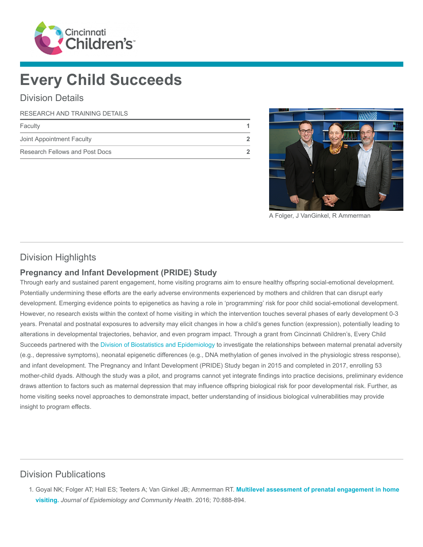

# Every Child Succeeds

#### Division Details

#### RESEARCH AND TRAINING DETAILS

| Faculty                        |  |
|--------------------------------|--|
| Joint Appointment Faculty      |  |
| Research Fellows and Post Docs |  |



A Folger, J VanGinkel, R Ammerman

## Division Highlights

#### Pregnancy and Infant Development (PRIDE) Study

Through early and sustained parent engagement, home visiting programs aim to ensure healthy offspring social-emotional development. Potentially undermining these efforts are the early adverse environments experienced by mothers and children that can disrupt early development. Emerging evidence points to epigenetics as having a role in 'programming' risk for poor child social-emotional development. However, no research exists within the context of home visiting in which the intervention touches several phases of early development 0-3 years. Prenatal and postnatal exposures to adversity may elicit changes in how a child's genes function (expression), potentially leading to alterations in developmental trajectories, behavior, and even program impact. Through a grant from Cincinnati Children's, Every Child Succeeds partnered with the [Division of Biostatistics and Epidemiology](https://www.cincinnatichildrens.org/research/divisions/b/biostatistics) to investigate the relationships between maternal prenatal adversity (e.g., depressive symptoms), neonatal epigenetic differences (e.g., DNA methylation of genes involved in the physiologic stress response), and infant development. The Pregnancy and Infant Development (PRIDE) Study began in 2015 and completed in 2017, enrolling 53 mother-child dyads. Although the study was a pilot, and programs cannot yet integrate findings into practice decisions, preliminary evidence draws attention to factors such as maternal depression that may influence offspring biological risk for poor developmental risk. Further, as home visiting seeks novel approaches to demonstrate impact, better understanding of insidious biological vulnerabilities may provide insight to program effects.

## Division Publications

1. [Goyal NK; Folger AT; Hall ES; Teeters A; Van Ginkel JB; Ammerman RT.](https://www.ncbi.nlm.nih.gov/pubmed/26912773) Multilevel assessment of prenatal engagement in home visiting. Journal of Epidemiology and Community Health. 2016; 70:888-894.